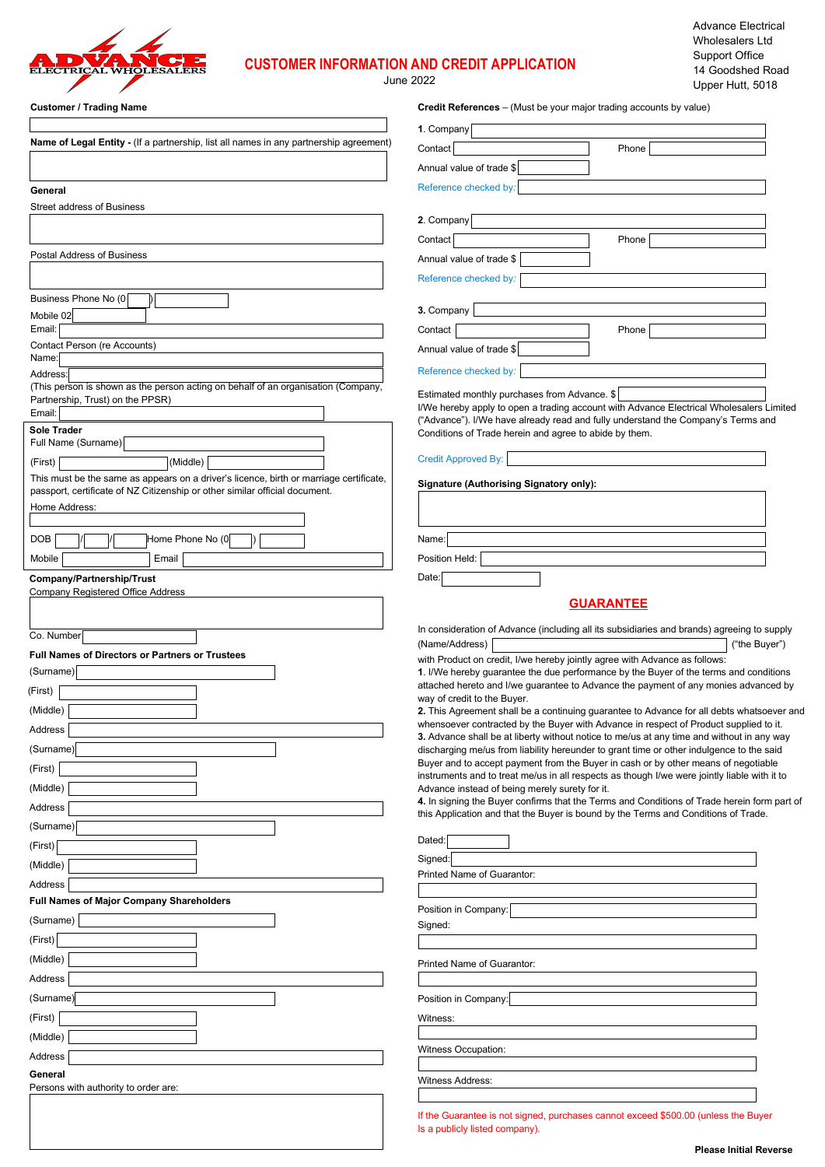

# **CUSTOMER INFORMATION AND CREDIT APPLICATION**

June 2022

| <b>Customer / Trading Name</b>                                                                | <b>Credit References</b> – (Must be your major trading accounts by value)                                                                                                             |
|-----------------------------------------------------------------------------------------------|---------------------------------------------------------------------------------------------------------------------------------------------------------------------------------------|
|                                                                                               | 1. Company                                                                                                                                                                            |
| <b>Name of Legal Entity - (If a partnership, list all names in any partnership agreement)</b> | Contact<br>Phone                                                                                                                                                                      |
|                                                                                               | Annual value of trade \$                                                                                                                                                              |
| General                                                                                       | Reference checked by:                                                                                                                                                                 |
| <b>Street address of Business</b>                                                             |                                                                                                                                                                                       |
|                                                                                               | 2. Company                                                                                                                                                                            |
|                                                                                               | Contact<br>Phone                                                                                                                                                                      |
| Postal Address of Business                                                                    | Annual value of trade \$                                                                                                                                                              |
|                                                                                               | Reference checked by:                                                                                                                                                                 |
| Business Phone No (0                                                                          |                                                                                                                                                                                       |
| Mobile 02                                                                                     | 3. Company                                                                                                                                                                            |
| Email:                                                                                        | Contact<br>Phone                                                                                                                                                                      |
| Contact Person (re Accounts)<br>Name:                                                         | Annual value of trade \$                                                                                                                                                              |
| Address:                                                                                      | Reference checked by:                                                                                                                                                                 |
| (This person is shown as the person acting on behalf of an organisation (Company,             | Estimated monthly purchases from Advance. \$                                                                                                                                          |
| Partnership, Trust) on the PPSR)<br>Email:                                                    | I/We hereby apply to open a trading account with Advance Electrical Wholesalers Limited                                                                                               |
| Sole Trader                                                                                   | ("Advance"). I/We have already read and fully understand the Company's Terms and<br>Conditions of Trade herein and agree to abide by them.                                            |
| Full Name (Surname)                                                                           |                                                                                                                                                                                       |
| (Middle)<br>(First)                                                                           | <b>Credit Approved By:</b>                                                                                                                                                            |
| This must be the same as appears on a driver's licence, birth or marriage certificate,        | <b>Signature (Authorising Signatory only):</b>                                                                                                                                        |
| passport, certificate of NZ Citizenship or other similar official document.<br>Home Address:  |                                                                                                                                                                                       |
|                                                                                               |                                                                                                                                                                                       |
| <b>DOB</b><br>Home Phone No (0                                                                | Name:                                                                                                                                                                                 |
| Mobile<br>Email                                                                               | Position Held:                                                                                                                                                                        |
| Company/Partnership/Trust                                                                     | Date:                                                                                                                                                                                 |
| Company Registered Office Address                                                             |                                                                                                                                                                                       |
|                                                                                               | <b>GUARANTEE</b>                                                                                                                                                                      |
| Co. Number                                                                                    | In consideration of Advance (including all its subsidiaries and brands) agreeing to supply                                                                                            |
| <b>Full Names of Directors or Partners or Trustees</b>                                        | ("the Buyer")<br>(Name/Address)                                                                                                                                                       |
| (Surname)                                                                                     | with Product on credit, I/we hereby jointly agree with Advance as follows:<br>1. I/We hereby quarantee the due performance by the Buyer of the terms and conditions                   |
| (First)                                                                                       | attached hereto and I/we guarantee to Advance the payment of any monies advanced by                                                                                                   |
| (Middle)                                                                                      | way of credit to the Buyer.<br>2. This Agreement shall be a continuing guarantee to Advance for all debts whatsoever and                                                              |
| Address                                                                                       | whensoever contracted by the Buyer with Advance in respect of Product supplied to it.                                                                                                 |
| (Surname)                                                                                     | 3. Advance shall be at liberty without notice to me/us at any time and without in any way<br>discharging me/us from liability hereunder to grant time or other indulgence to the said |
| (First)                                                                                       | Buyer and to accept payment from the Buyer in cash or by other means of negotiable                                                                                                    |
| (Middle)                                                                                      | instruments and to treat me/us in all respects as though I/we were jointly liable with it to<br>Advance instead of being merely surety for it.                                        |
| Address                                                                                       | 4. In signing the Buyer confirms that the Terms and Conditions of Trade herein form part of                                                                                           |
| (Surname)                                                                                     | this Application and that the Buyer is bound by the Terms and Conditions of Trade.                                                                                                    |
| (First)                                                                                       | Dated:                                                                                                                                                                                |
|                                                                                               | Signed:                                                                                                                                                                               |
| (Middle)                                                                                      | Printed Name of Guarantor:                                                                                                                                                            |
| Address<br><b>Full Names of Major Company Shareholders</b>                                    |                                                                                                                                                                                       |
| (Surname)                                                                                     | Position in Company:                                                                                                                                                                  |
|                                                                                               | Signed:                                                                                                                                                                               |
| (First)                                                                                       |                                                                                                                                                                                       |
| (Middle)                                                                                      | Printed Name of Guarantor:                                                                                                                                                            |
| Address                                                                                       |                                                                                                                                                                                       |
| (Surname)                                                                                     | Position in Company:                                                                                                                                                                  |
| (First)                                                                                       | Witness:                                                                                                                                                                              |
| (Middle)                                                                                      | Witness Occupation:                                                                                                                                                                   |
| Address                                                                                       |                                                                                                                                                                                       |
| General                                                                                       | <b>Witness Address:</b>                                                                                                                                                               |
| Persons with authority to order are:                                                          |                                                                                                                                                                                       |
|                                                                                               | If the Guarantee is not signed, purchases cannot exceed \$500.00 (unless the Buyer                                                                                                    |
|                                                                                               | Is a publicly listed company).                                                                                                                                                        |